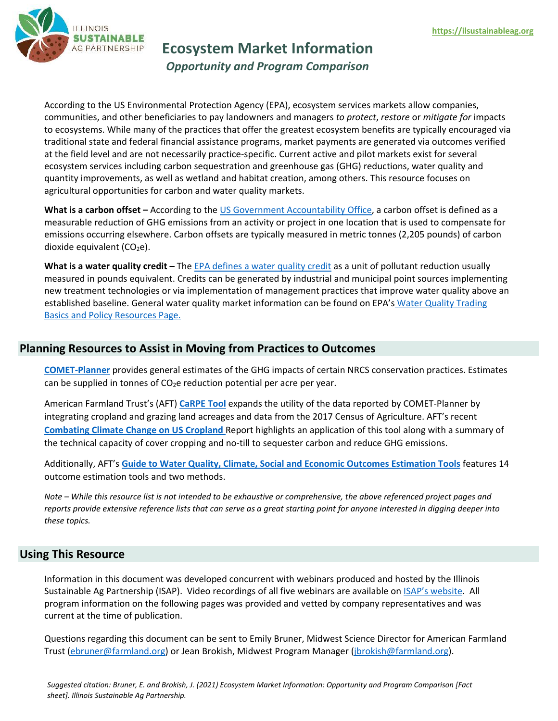

**Ecosystem Market Information**

*Opportunity and Program Comparison*

According to the US Environmental Protection Agency (EPA), ecosystem services markets allow companies, communities, and other beneficiaries to pay landowners and managers *to protect*, *restore* or *mitigate for* impacts to ecosystems. While many of the practices that offer the greatest ecosystem benefits are typically encouraged via traditional state and federal financial assistance programs, market payments are generated via outcomes verified at the field level and are not necessarily practice-specific. Current active and pilot markets exist for several ecosystem services including carbon sequestration and greenhouse gas (GHG) reductions, water quality and quantity improvements, as well as wetland and habitat creation, among others. This resource focuses on agricultural opportunities for carbon and water quality markets.

What is a carbon offset - According to the [US Government Accountability Office,](https://www.gao.gov/new.items/d081048.pdf) a carbon offset is defined as a measurable reduction of GHG emissions from an activity or project in one location that is used to compensate for emissions occurring elsewhere. Carbon offsets are typically measured in metric tonnes (2,205 pounds) of carbon dioxide equivalent  $(CO<sub>2</sub>e)$ .

**What is a water quality credit –** The EPA [defines a water quality credit](https://www.epa.gov/npdes/frequently-asked-questions-about-water-quality-trading) as a unit of pollutant reduction usually measured in pounds equivalent. Credits can be generated by industrial and municipal point sources implementing new treatment technologies or via implementation of management practices that improve water quality above an established baseline. General water quality market information can be found on EPA's Water Quality Trading [Basics and Policy Resources Page.](https://www.epa.gov/npdes/water-quality-trading-basics-and-policy-resources) 

# **Planning Resources to Assist in Moving from Practices to Outcomes**

**[COMET-Planner](http://comet-planner.com/)** provides general estimates of the GHG impacts of certain NRCS conservation practices. Estimates can be supplied in tonnes of  $CO<sub>2</sub>e$  reduction potential per acre per year.

American Farmland Trust's (AFT) **[CaRPE Tool](https://farmland.org/carpetool/)** expands the utility of the data reported by COMET-Planner by integrating cropland and grazing land acreages and data from the 2017 Census of Agriculture. AFT's recent **[Combating Climate Change on US Cropland](https://farmlandinfo.org/publications/combating-climate-change-on-us-cropland/)** Report highlights an application of this tool along with a summary of the technical capacity of cover cropping and no-till to sequester carbon and reduce GHG emissions.

Additionally, AFT's **[Guide to Water Quality, Climate, Social and Economic Outcomes Estimation Tools](https://s30428.pcdn.co/wp-content/uploads/sites/2/2020/11/AFT_Outcomes_Tools_Guide_Web.pdf)** features 14 outcome estimation tools and two methods.

*Note – While this resource list is not intended to be exhaustive or comprehensive, the above referenced project pages and reports provide extensive reference lists that can serve as a great starting point for anyone interested in digging deeper into these topics.*

## **Using This Resource**

Information in this document was developed concurrent with webinars produced and hosted by the Illinois Sustainable Ag Partnership (ISAP). Video recordings of all five webinars are available on [ISAP's website.](https://ilsustainableag.org/ecomarkets) All program information on the following pages was provided and vetted by company representatives and was current at the time of publication.

Questions regarding this document can be sent to Emily Bruner, Midwest Science Director for American Farmland Trust [\(ebruner@farmland.org\)](mailto:ebruner@farmland.org) or Jean Brokish, Midwest Program Manager [\(jbrokish@farmland.org\)](mailto:jbrokish@farmland.org).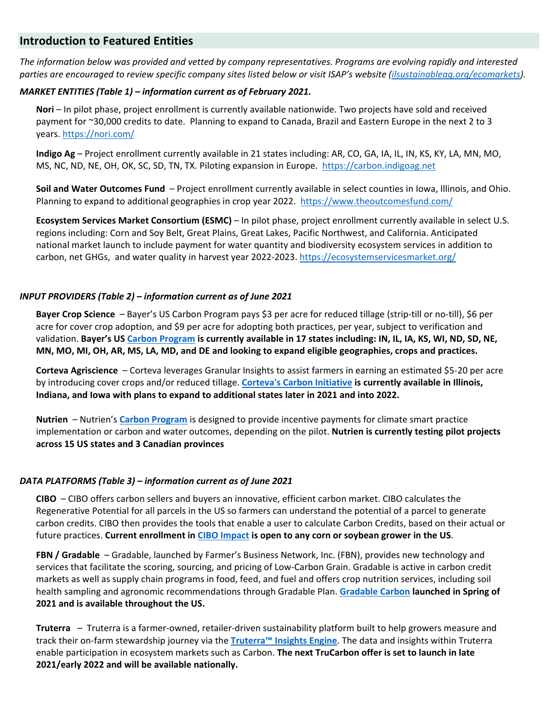## **Introduction to Featured Entities**

*The information below was provided and vetted by company representatives. Programs are evolving rapidly and interested parties are encouraged to review specific company sites listed below or visit ISAP's website [\(ilsustainableag.org/ecomarkets\)](https://ilsustainableag.org/ecomarkets/)*.

#### *MARKET ENTITIES (Table 1) – information current as of February 2021.*

**Nori** – In pilot phase, project enrollment is currently available nationwide. Two projects have sold and received payment for ~30,000 credits to date. Planning to expand to Canada, Brazil and Eastern Europe in the next 2 to 3 years[. https://nori.com/](https://nori.com/) 

**Indigo Ag** – Project enrollment currently available in 21 states including: AR, CO, GA, IA, IL, IN, KS, KY, LA, MN, MO, MS, NC, ND, NE, OH, OK, SC, SD, TN, TX. Piloting expansion in Europe. [https://carbon.indigoag.net](https://carbon.indigoag.net/) 

**Soil and Water Outcomes Fund** – Project enrollment currently available in select counties in Iowa, Illinois, and Ohio. Planning to expand to additional geographies in crop year 2022. <https://www.theoutcomesfund.com/>

**Ecosystem Services Market Consortium (ESMC)** – In pilot phase, project enrollment currently available in select U.S. regions including: Corn and Soy Belt, Great Plains, Great Lakes, Pacific Northwest, and California. Anticipated national market launch to include payment for water quantity and biodiversity ecosystem services in addition to carbon, net GHGs, and water quality in harvest year 2022-2023. https://ecosystemservicesmarket.org/

#### *INPUT PROVIDERS (Table 2) – information current as of June 2021*

**Bayer Crop Science** – Bayer's US Carbon Program pays \$3 per acre for reduced tillage (strip-till or no-till), \$6 per acre for cover crop adoption, and \$9 per acre for adopting both practices, per year, subject to verification and validation. **Bayer's US [Carbon Program](https://www.cropscience.bayer.com/who-we-are/farmer-partner-resources/carbon-program/united-states) is currently available in 17 states including: IN, IL, IA, KS, WI, ND, SD, NE, MN, MO, MI, OH, AR, MS, LA, MD, and DE and looking to expand eligible geographies, crops and practices.** 

**Corteva Agriscience** – Corteva leverages Granular Insights to assist farmers in earning an estimated \$5-20 per acre by introducing cover crops and/or reduced tillage. **[Corteva's Carbon Initiative](https://granular.ag/carbon/) is currently available in Illinois, Indiana, and Iowa with plans to expand to additional states later in 2021 and into 2022.**

**Nutrien** – Nutrien's **[Carbon Program](https://www.nutrien.com/sustainability/strategy/feeding-planet-sustainably/carbon-program)** is designed to provide incentive payments for climate smart practice implementation or carbon and water outcomes, depending on the pilot. **Nutrien is currently testing pilot projects across 15 US states and 3 Canadian provinces**

## *DATA PLATFORMS (Table 3) – information current as of June 2021*

**CIBO** – CIBO offers carbon sellers and buyers an innovative, efficient carbon market. CIBO calculates the Regenerative Potential for all parcels in the US so farmers can understand the potential of a parcel to generate carbon credits. CIBO then provides the tools that enable a user to calculate Carbon Credits, based on their actual or future practices. **Current enrollment in [CIBO Impact](https://www.cibotechnologies.com/cibo-impact/) is open to any corn or soybean grower in the US**.

**FBN / Gradable** – Gradable, launched by Farmer's Business Network, Inc. (FBN), provides new technology and services that facilitate the scoring, sourcing, and pricing of Low-Carbon Grain. Gradable is active in carbon credit markets as well as supply chain programs in food, feed, and fuel and offers crop nutrition services, including soil health sampling and agronomic recommendations through Gradable Plan. **[Gradable Carbon](https://www.gradable.com/carbon) launched in Spring of 2021 and is available throughout the US.** 

**Truterra** – Truterra is a farmer-owned, retailer-driven sustainability platform built to help growers measure and track their on-farm stewardship journey via the **[Truterra™ Insights Engine](https://www.truterraag.com/)**. The data and insights within Truterra enable participation in ecosystem markets such as Carbon. **The next TruCarbon offer is set to launch in late 2021/early 2022 and will be available nationally.**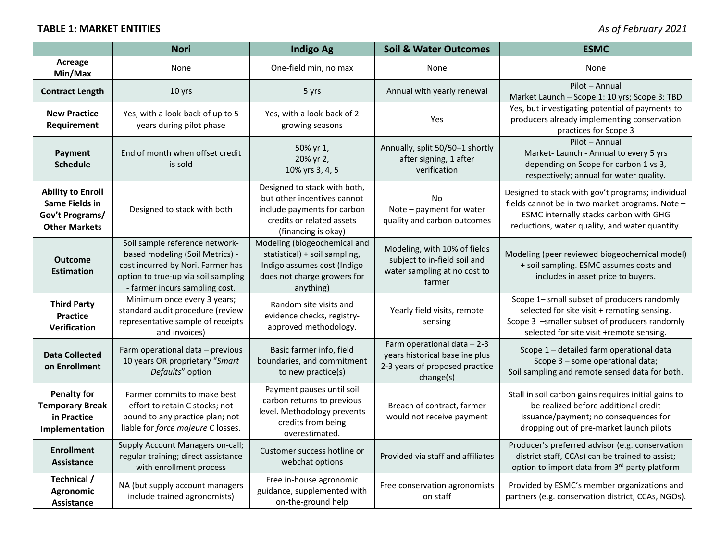# **TABLE 1: MARKET ENTITIES** *As of February 2021*

|                                                                                              | <b>Nori</b>                                                                                                                                                                     | <b>Indigo Ag</b>                                                                                                                               | <b>Soil &amp; Water Outcomes</b>                                                                             | <b>ESMC</b>                                                                                                                                                                                      |
|----------------------------------------------------------------------------------------------|---------------------------------------------------------------------------------------------------------------------------------------------------------------------------------|------------------------------------------------------------------------------------------------------------------------------------------------|--------------------------------------------------------------------------------------------------------------|--------------------------------------------------------------------------------------------------------------------------------------------------------------------------------------------------|
| Acreage<br>Min/Max                                                                           | None                                                                                                                                                                            | One-field min, no max                                                                                                                          | None                                                                                                         | None                                                                                                                                                                                             |
| <b>Contract Length</b>                                                                       | 10 yrs                                                                                                                                                                          | 5 yrs                                                                                                                                          | Annual with yearly renewal                                                                                   | Pilot - Annual<br>Market Launch - Scope 1: 10 yrs; Scope 3: TBD                                                                                                                                  |
| <b>New Practice</b><br>Requirement                                                           | Yes, with a look-back of up to 5<br>years during pilot phase                                                                                                                    | Yes, with a look-back of 2<br>growing seasons                                                                                                  | Yes                                                                                                          | Yes, but investigating potential of payments to<br>producers already implementing conservation<br>practices for Scope 3                                                                          |
| Payment<br><b>Schedule</b>                                                                   | End of month when offset credit<br>is sold                                                                                                                                      | 50% yr 1,<br>20% yr 2,<br>10% yrs 3, 4, 5                                                                                                      | Annually, split 50/50-1 shortly<br>after signing, 1 after<br>verification                                    | Pilot - Annual<br>Market-Launch - Annual to every 5 yrs<br>depending on Scope for carbon 1 vs 3,<br>respectively; annual for water quality.                                                      |
| <b>Ability to Enroll</b><br><b>Same Fields in</b><br>Gov't Programs/<br><b>Other Markets</b> | Designed to stack with both                                                                                                                                                     | Designed to stack with both,<br>but other incentives cannot<br>include payments for carbon<br>credits or related assets<br>(financing is okay) | No<br>Note - payment for water<br>quality and carbon outcomes                                                | Designed to stack with gov't programs; individual<br>fields cannot be in two market programs. Note -<br>ESMC internally stacks carbon with GHG<br>reductions, water quality, and water quantity. |
| <b>Outcome</b><br><b>Estimation</b>                                                          | Soil sample reference network-<br>based modeling (Soil Metrics) -<br>cost incurred by Nori. Farmer has<br>option to true-up via soil sampling<br>- farmer incurs sampling cost. | Modeling (biogeochemical and<br>statistical) + soil sampling,<br>Indigo assumes cost (Indigo<br>does not charge growers for<br>anything)       | Modeling, with 10% of fields<br>subject to in-field soil and<br>water sampling at no cost to<br>farmer       | Modeling (peer reviewed biogeochemical model)<br>+ soil sampling. ESMC assumes costs and<br>includes in asset price to buyers.                                                                   |
| <b>Third Party</b><br><b>Practice</b><br><b>Verification</b>                                 | Minimum once every 3 years;<br>standard audit procedure (review<br>representative sample of receipts<br>and invoices)                                                           | Random site visits and<br>evidence checks, registry-<br>approved methodology.                                                                  | Yearly field visits, remote<br>sensing                                                                       | Scope 1- small subset of producers randomly<br>selected for site visit + remoting sensing.<br>Scope 3 -smaller subset of producers randomly<br>selected for site visit +remote sensing.          |
| <b>Data Collected</b><br>on Enrollment                                                       | Farm operational data - previous<br>10 years OR proprietary "Smart<br>Defaults" option                                                                                          | Basic farmer info, field<br>boundaries, and commitment<br>to new practice(s)                                                                   | Farm operational data - 2-3<br>years historical baseline plus<br>2-3 years of proposed practice<br>change(s) | Scope 1 - detailed farm operational data<br>Scope 3 - some operational data;<br>Soil sampling and remote sensed data for both.                                                                   |
| <b>Penalty for</b><br><b>Temporary Break</b><br>in Practice<br>Implementation                | Farmer commits to make best<br>effort to retain C stocks; not<br>bound to any practice plan; not<br>liable for force majeure C losses.                                          | Payment pauses until soil<br>carbon returns to previous<br>level. Methodology prevents<br>credits from being<br>overestimated.                 | Breach of contract, farmer<br>would not receive payment                                                      | Stall in soil carbon gains requires initial gains to<br>be realized before additional credit<br>issuance/payment; no consequences for<br>dropping out of pre-market launch pilots                |
| <b>Enrollment</b><br><b>Assistance</b>                                                       | Supply Account Managers on-call;<br>regular training; direct assistance<br>with enrollment process                                                                              | Customer success hotline or<br>webchat options                                                                                                 | Provided via staff and affiliates                                                                            | Producer's preferred advisor (e.g. conservation<br>district staff, CCAs) can be trained to assist;<br>option to import data from 3rd party platform                                              |
| Technical /<br><b>Agronomic</b><br>Assistance                                                | NA (but supply account managers<br>include trained agronomists)                                                                                                                 | Free in-house agronomic<br>guidance, supplemented with<br>on-the-ground help                                                                   | Free conservation agronomists<br>on staff                                                                    | Provided by ESMC's member organizations and<br>partners (e.g. conservation district, CCAs, NGOs).                                                                                                |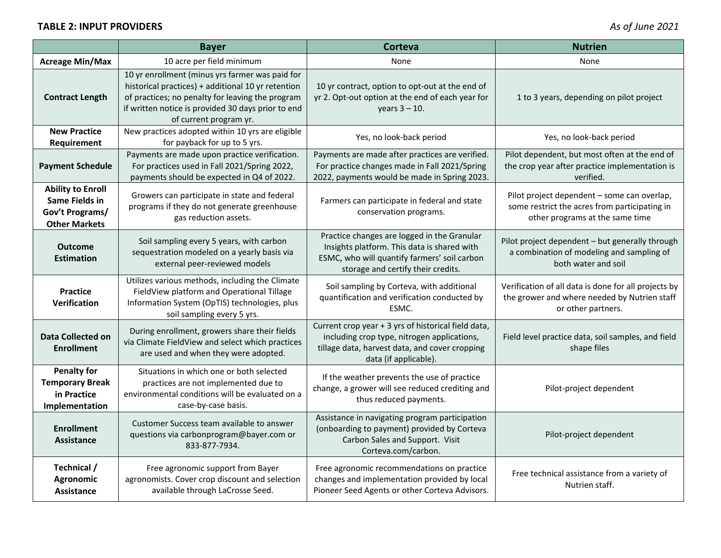|                                                                                       | <b>Bayer</b>                                                                                                                                                                                                                              | <b>Corteva</b>                                                                                                                                                                   | <b>Nutrien</b>                                                                                                                  |
|---------------------------------------------------------------------------------------|-------------------------------------------------------------------------------------------------------------------------------------------------------------------------------------------------------------------------------------------|----------------------------------------------------------------------------------------------------------------------------------------------------------------------------------|---------------------------------------------------------------------------------------------------------------------------------|
| <b>Acreage Min/Max</b>                                                                | 10 acre per field minimum                                                                                                                                                                                                                 | None                                                                                                                                                                             | None                                                                                                                            |
| <b>Contract Length</b>                                                                | 10 yr enrollment (minus yrs farmer was paid for<br>historical practices) + additional 10 yr retention<br>of practices; no penalty for leaving the program<br>if written notice is provided 30 days prior to end<br>of current program yr. | 10 yr contract, option to opt-out at the end of<br>yr 2. Opt-out option at the end of each year for<br>years $3 - 10$ .                                                          | 1 to 3 years, depending on pilot project                                                                                        |
| <b>New Practice</b><br>Requirement                                                    | New practices adopted within 10 yrs are eligible<br>for payback for up to 5 yrs.                                                                                                                                                          | Yes, no look-back period                                                                                                                                                         | Yes, no look-back period                                                                                                        |
| <b>Payment Schedule</b>                                                               | Payments are made upon practice verification.<br>For practices used in Fall 2021/Spring 2022,<br>payments should be expected in Q4 of 2022.                                                                                               | Payments are made after practices are verified.<br>For practice changes made in Fall 2021/Spring<br>2022, payments would be made in Spring 2023.                                 | Pilot dependent, but most often at the end of<br>the crop year after practice implementation is<br>verified.                    |
| <b>Ability to Enroll</b><br>Same Fields in<br>Gov't Programs/<br><b>Other Markets</b> | Growers can participate in state and federal<br>programs if they do not generate greenhouse<br>gas reduction assets.                                                                                                                      | Farmers can participate in federal and state<br>conservation programs.                                                                                                           | Pilot project dependent - some can overlap,<br>some restrict the acres from participating in<br>other programs at the same time |
| <b>Outcome</b><br><b>Estimation</b>                                                   | Soil sampling every 5 years, with carbon<br>sequestration modeled on a yearly basis via<br>external peer-reviewed models                                                                                                                  | Practice changes are logged in the Granular<br>Insights platform. This data is shared with<br>ESMC, who will quantify farmers' soil carbon<br>storage and certify their credits. | Pilot project dependent - but generally through<br>a combination of modeling and sampling of<br>both water and soil             |
| <b>Practice</b><br>Verification                                                       | Utilizes various methods, including the Climate<br>FieldView platform and Operational Tillage<br>Information System (OpTIS) technologies, plus<br>soil sampling every 5 yrs.                                                              | Soil sampling by Corteva, with additional<br>quantification and verification conducted by<br>ESMC.                                                                               | Verification of all data is done for all projects by<br>the grower and where needed by Nutrien staff<br>or other partners.      |
| <b>Data Collected on</b><br><b>Enrollment</b>                                         | During enrollment, growers share their fields<br>via Climate FieldView and select which practices<br>are used and when they were adopted.                                                                                                 | Current crop year + 3 yrs of historical field data,<br>including crop type, nitrogen applications,<br>tillage data, harvest data, and cover cropping<br>data (if applicable).    | Field level practice data, soil samples, and field<br>shape files                                                               |
| <b>Penalty for</b><br><b>Temporary Break</b><br>in Practice<br>Implementation         | Situations in which one or both selected<br>practices are not implemented due to<br>environmental conditions will be evaluated on a<br>case-by-case basis.                                                                                | If the weather prevents the use of practice<br>change, a grower will see reduced crediting and<br>thus reduced payments.                                                         | Pilot-project dependent                                                                                                         |
| <b>Enrollment</b><br><b>Assistance</b>                                                | Customer Success team available to answer<br>questions via carbonprogram@bayer.com or<br>833-877-7934.                                                                                                                                    | Assistance in navigating program participation<br>(onboarding to payment) provided by Corteva<br>Carbon Sales and Support. Visit<br>Corteva.com/carbon.                          | Pilot-project dependent                                                                                                         |
| Technical /<br>Agronomic<br><b>Assistance</b>                                         | Free agronomic support from Bayer<br>agronomists. Cover crop discount and selection<br>available through LaCrosse Seed.                                                                                                                   | Free agronomic recommendations on practice<br>changes and implementation provided by local<br>Pioneer Seed Agents or other Corteva Advisors.                                     | Free technical assistance from a variety of<br>Nutrien staff.                                                                   |